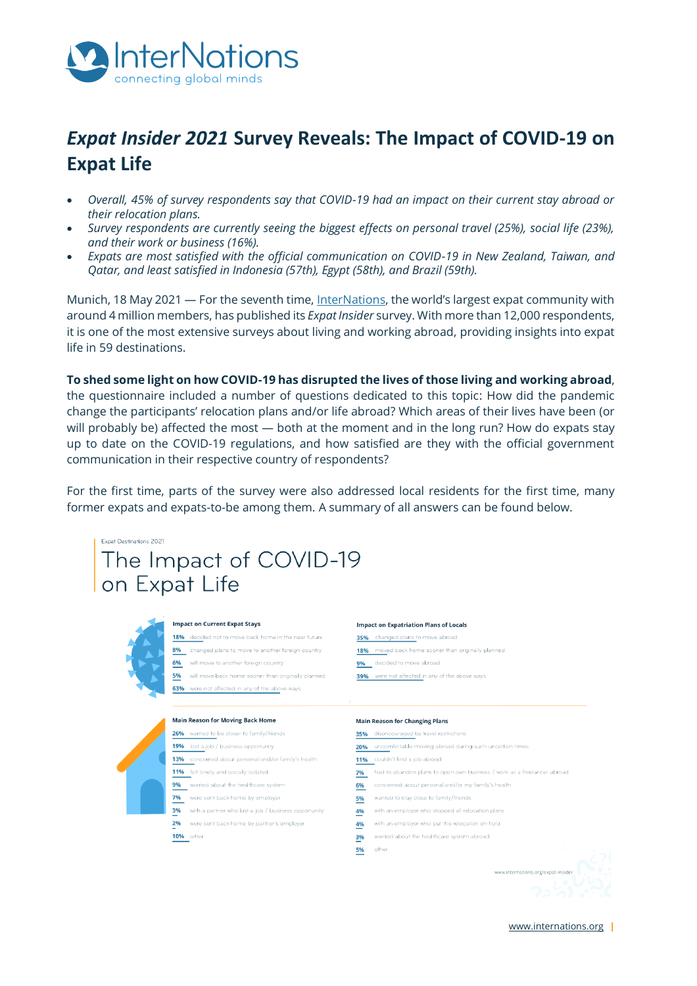

# **Expat Insider 2021 Survey Reveals: The Impact of COVID-19 on Expat Life**

- Overall, 45% of survey respondents say that COVID-19 had an impact on their current stay abroad or their relocation plans.
- Survey respondents are currently seeing the biggest effects on personal travel (25%), social life (23%), and their work or business (16%).
- Expats are most satisfied with the official communication on COVID-19 in New Zealand, Taiwan, and  $\bullet$ Qatar, and least satisfied in Indonesia (57th), Egypt (58th), and Brazil (59th).

Munich, 18 May 2021 - For the seventh time, InterNations, the world's largest expat community with around 4 million members, has published its Expat Insider survey. With more than 12,000 respondents, it is one of the most extensive surveys about living and working abroad, providing insights into expat life in 59 destinations.

To shed some light on how COVID-19 has disrupted the lives of those living and working abroad, the questionnaire included a number of questions dedicated to this topic: How did the pandemic change the participants' relocation plans and/or life abroad? Which areas of their lives have been (or will probably be) affected the most - both at the moment and in the long run? How do expats stay up to date on the COVID-19 regulations, and how satisfied are they with the official government communication in their respective country of respondents?

For the first time, parts of the survey were also addressed local residents for the first time, many former expats and expats-to-be among them. A summary of all answers can be found below.

# Expat Destinations 2021 The Impact of COVID-19 on Expat Life



#### **Impact on Current Expat Stays**

18% decided not to move back home in the near future 8% changed plans to move to another foreign country 6% will move to another foreign country 5% will move back home sooner than originally planned 63% were not affected in any of the above ways

#### Main Reason for Moving Back Home

26% wanted to be closer to family/friends

19% lost a job / business opportunity 13% concerned about personal and/or family's health

- 11% felt lonely and socially isolated
- 9% worried about the healthcare system
- 7% were sent back home by employer
- 3% with a partner who lost a job / business opportunity
- 2% were sent back home by partner's employer
- 10% other

#### **Impact on Expatriation Plans of Locals**

- 35% changed plans to move abroad
- 18% moved back home sooner than originally planned
- 9% decided to move abroad
- 39% were not affected in any of the above ways

#### **Main Reason for Changing Plans**

- 35% disencouraged by travel restrictions
- 20% uncomfortable moving abroad during such uncertain times<br>11% couldn't find a job abroad
	-
- 7% had to abandon plans to open own business / work as a freelancer abroad
- 6% concerned about personal and/or my family's health
- 5% wanted to stay close to family/friends
- 4% with an employer who stopped all relocation plans
- 4% with an employer who put the relocation on hold
- 3% worried about the healthcare system abroad
- **5%** other

 $\begin{picture}(180,10) \put(0,0){\vector(1,0){100}} \put(10,0){\vector(1,0){100}} \put(10,0){\vector(1,0){100}} \put(10,0){\vector(1,0){100}} \put(10,0){\vector(1,0){100}} \put(10,0){\vector(1,0){100}} \put(10,0){\vector(1,0){100}} \put(10,0){\vector(1,0){100}} \put(10,0){\vector(1,0){100}} \put(10,0){\vector(1,0){100}} \put(10,0){\vector(1,0){100}}$ 

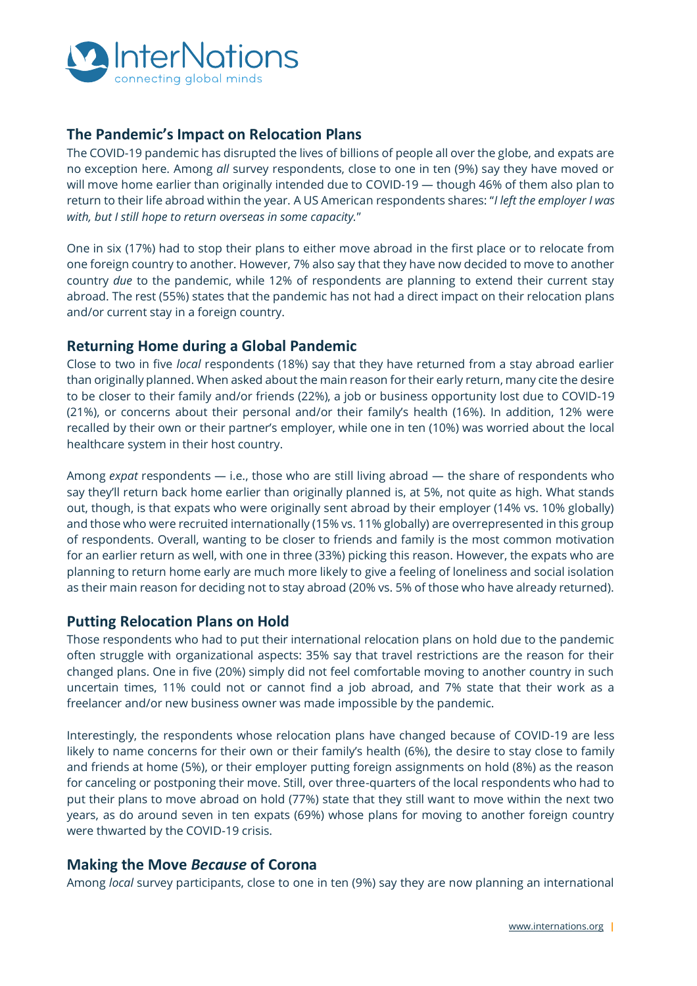

## **The Pandemic's Impact on Relocation Plans**

The COVID-19 pandemic has disrupted the lives of billions of people all over the globe, and expats are no exception here. Among *all* survey respondents, close to one in ten (9%) say they have moved or will move home earlier than originally intended due to COVID-19 — though 46% of them also plan to return to their life abroad within the year. A US American respondents shares: "*I left the employer I was with, but I still hope to return overseas in some capacity.*"

One in six (17%) had to stop their plans to either move abroad in the first place or to relocate from one foreign country to another. However, 7% also say that they have now decided to move to another country *due* to the pandemic, while 12% of respondents are planning to extend their current stay abroad. The rest (55%) states that the pandemic has not had a direct impact on their relocation plans and/or current stay in a foreign country.

### **Returning Home during a Global Pandemic**

Close to two in five *local* respondents (18%) say that they have returned from a stay abroad earlier than originally planned. When asked about the main reason for their early return, many cite the desire to be closer to their family and/or friends (22%), a job or business opportunity lost due to COVID-19 (21%), or concerns about their personal and/or their family's health (16%). In addition, 12% were recalled by their own or their partner's employer, while one in ten (10%) was worried about the local healthcare system in their host country.

Among *expat* respondents — i.e., those who are still living abroad — the share of respondents who say they'll return back home earlier than originally planned is, at 5%, not quite as high. What stands out, though, is that expats who were originally sent abroad by their employer (14% vs. 10% globally) and those who were recruited internationally (15% vs. 11% globally) are overrepresented in this group of respondents. Overall, wanting to be closer to friends and family is the most common motivation for an earlier return as well, with one in three (33%) picking this reason. However, the expats who are planning to return home early are much more likely to give a feeling of loneliness and social isolation as their main reason for deciding not to stay abroad (20% vs. 5% of those who have already returned).

#### **Putting Relocation Plans on Hold**

Those respondents who had to put their international relocation plans on hold due to the pandemic often struggle with organizational aspects: 35% say that travel restrictions are the reason for their changed plans. One in five (20%) simply did not feel comfortable moving to another country in such uncertain times, 11% could not or cannot find a job abroad, and 7% state that their work as a freelancer and/or new business owner was made impossible by the pandemic.

Interestingly, the respondents whose relocation plans have changed because of COVID-19 are less likely to name concerns for their own or their family's health (6%), the desire to stay close to family and friends at home (5%), or their employer putting foreign assignments on hold (8%) as the reason for canceling or postponing their move. Still, over three-quarters of the local respondents who had to put their plans to move abroad on hold (77%) state that they still want to move within the next two years, as do around seven in ten expats (69%) whose plans for moving to another foreign country were thwarted by the COVID-19 crisis.

### **Making the Move** *Because* **of Corona**

Among *local* survey participants, close to one in ten (9%) say they are now planning an international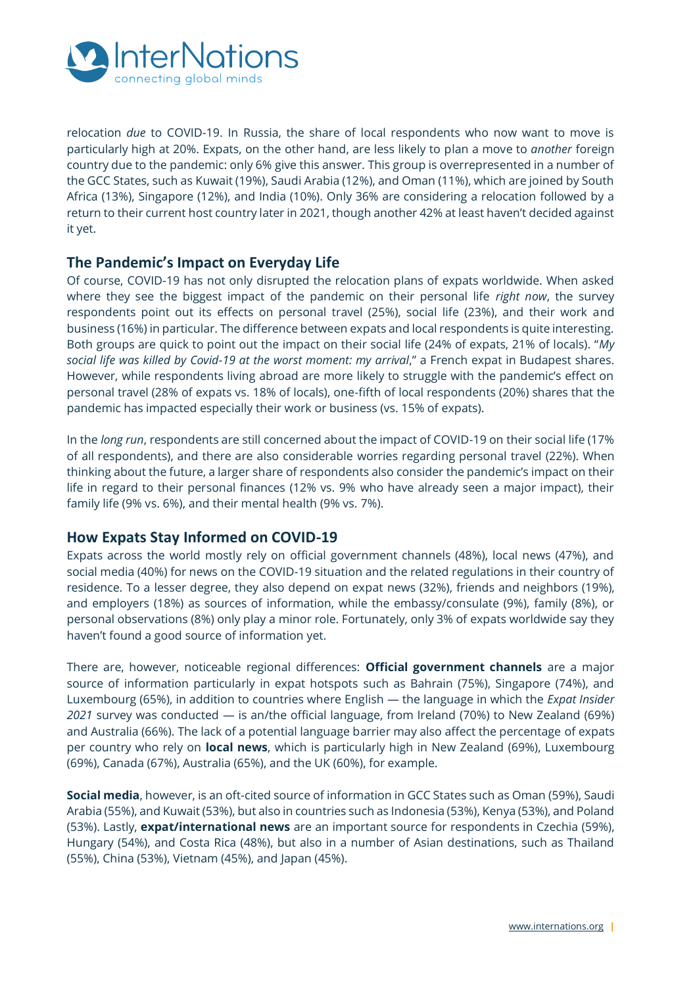

relocation *due* to COVID-19. In Russia, the share of local respondents who now want to move is particularly high at 20%. Expats, on the other hand, are less likely to plan a move to *another* foreign country due to the pandemic: only 6% give this answer. This group is overrepresented in a number of the GCC States, such as Kuwait (19%), Saudi Arabia (12%), and Oman (11%), which are joined by South Africa (13%), Singapore (12%), and India (10%). Only 36% are considering a relocation followed by a return to their current host country later in 2021, though another 42% at least haven't decided against it yet.

### **The Pandemic's Impact on Everyday Life**

Of course, COVID-19 has not only disrupted the relocation plans of expats worldwide. When asked where they see the biggest impact of the pandemic on their personal life *right now*, the survey respondents point out its effects on personal travel (25%), social life (23%), and their work and business (16%) in particular. The difference between expats and local respondents is quite interesting. Both groups are quick to point out the impact on their social life (24% of expats, 21% of locals). "*My social life was killed by Covid-19 at the worst moment: my arrival*," a French expat in Budapest shares. However, while respondents living abroad are more likely to struggle with the pandemic's effect on personal travel (28% of expats vs. 18% of locals), one-fifth of local respondents (20%) shares that the pandemic has impacted especially their work or business (vs. 15% of expats).

In the *long run*, respondents are still concerned about the impact of COVID-19 on their social life (17% of all respondents), and there are also considerable worries regarding personal travel (22%). When thinking about the future, a larger share of respondents also consider the pandemic's impact on their life in regard to their personal finances (12% vs. 9% who have already seen a major impact), their family life (9% vs. 6%), and their mental health (9% vs. 7%).

### **How Expats Stay Informed on COVID-19**

Expats across the world mostly rely on official government channels (48%), local news (47%), and social media (40%) for news on the COVID-19 situation and the related regulations in their country of residence. To a lesser degree, they also depend on expat news (32%), friends and neighbors (19%), and employers (18%) as sources of information, while the embassy/consulate (9%), family (8%), or personal observations (8%) only play a minor role. Fortunately, only 3% of expats worldwide say they haven't found a good source of information yet.

There are, however, noticeable regional differences: **Official government channels** are a major source of information particularly in expat hotspots such as Bahrain (75%), Singapore (74%), and Luxembourg (65%), in addition to countries where English — the language in which the *Expat Insider 2021* survey was conducted — is an/the official language, from Ireland (70%) to New Zealand (69%) and Australia (66%). The lack of a potential language barrier may also affect the percentage of expats per country who rely on **local news**, which is particularly high in New Zealand (69%), Luxembourg (69%), Canada (67%), Australia (65%), and the UK (60%), for example.

**Social media**, however, is an oft-cited source of information in GCC States such as Oman (59%), Saudi Arabia (55%), and Kuwait (53%), but also in countries such as Indonesia (53%), Kenya (53%), and Poland (53%). Lastly, **expat/international news** are an important source for respondents in Czechia (59%), Hungary (54%), and Costa Rica (48%), but also in a number of Asian destinations, such as Thailand (55%), China (53%), Vietnam (45%), and Japan (45%).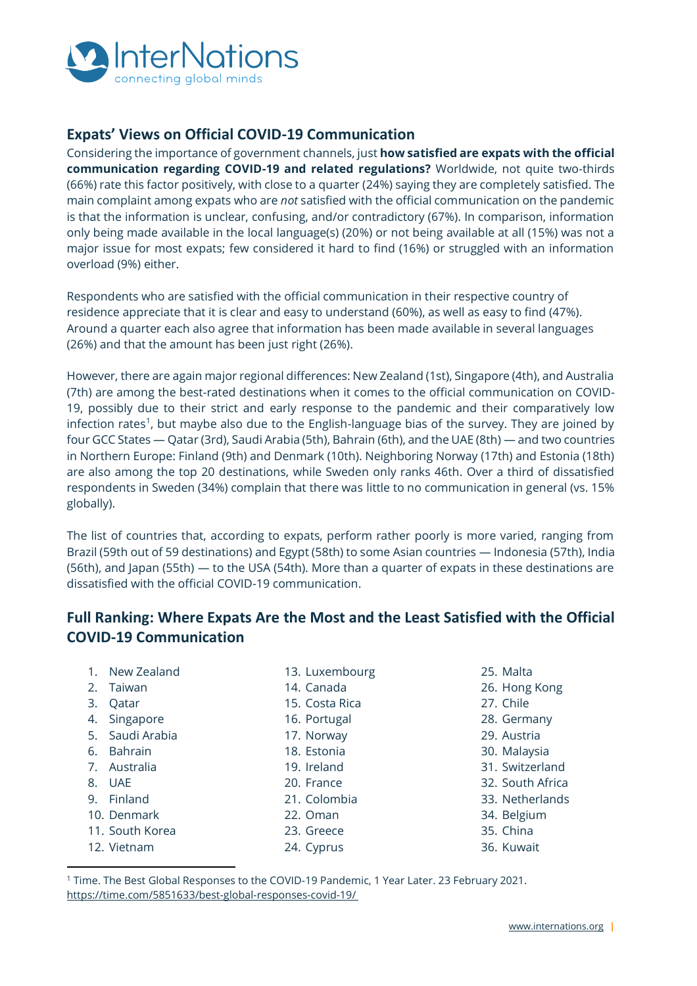

## **Expats' Views on Official COVID-19 Communication**

Considering the importance of government channels, just **how satisfied are expats with the official communication regarding COVID-19 and related regulations?** Worldwide, not quite two-thirds (66%) rate this factor positively, with close to a quarter (24%) saying they are completely satisfied. The main complaint among expats who are *not* satisfied with the official communication on the pandemic is that the information is unclear, confusing, and/or contradictory (67%). In comparison, information only being made available in the local language(s) (20%) or not being available at all (15%) was not a major issue for most expats; few considered it hard to find (16%) or struggled with an information overload (9%) either.

Respondents who are satisfied with the official communication in their respective country of residence appreciate that it is clear and easy to understand (60%), as well as easy to find (47%). Around a quarter each also agree that information has been made available in several languages (26%) and that the amount has been just right (26%).

However, there are again major regional differences: New Zealand (1st), Singapore (4th), and Australia (7th) are among the best-rated destinations when it comes to the official communication on COVID-19, possibly due to their strict and early response to the pandemic and their comparatively low infection rates<sup>1</sup>, but maybe also due to the English-language bias of the survey. They are joined by four GCC States — Qatar (3rd), Saudi Arabia (5th), Bahrain (6th), and the UAE (8th) — and two countries in Northern Europe: Finland (9th) and Denmark (10th). Neighboring Norway (17th) and Estonia (18th) are also among the top 20 destinations, while Sweden only ranks 46th. Over a third of dissatisfied respondents in Sweden (34%) complain that there was little to no communication in general (vs. 15% globally).

The list of countries that, according to expats, perform rather poorly is more varied, ranging from Brazil (59th out of 59 destinations) and Egypt (58th) to some Asian countries — Indonesia (57th), India (56th), and Japan (55th) — to the USA (54th). More than a quarter of expats in these destinations are dissatisfied with the official COVID-19 communication.

## **Full Ranking: Where Expats Are the Most and the Least Satisfied with the Official COVID-19 Communication**

- 1. New Zealand
- 2. Taiwan
- 3. Qatar
- 4. Singapore
- 5. Saudi Arabia
- 6. Bahrain
- 7. Australia
- 8. UAE
- 9. Finland
- 10. Denmark
- 11. South Korea
- 12. Vietnam
- 13. Luxembourg
- 14. Canada
- 15. Costa Rica
- 16. Portugal
- 17. Norway
- 18. Estonia
- 19. Ireland
- 20. France
- 21. Colombia
- 22. Oman
- 23. Greece
	- 24. Cyprus
- 25. Malta
- 26. Hong Kong
- 27. Chile
- 28. Germany
- 29. Austria
- 30. Malaysia
- 31. Switzerland
- 32. South Africa
- 33. Netherlands
- 34. Belgium
- 35. China
- 36. Kuwait

<sup>1</sup> Time. The Best Global Responses to the COVID-19 Pandemic, 1 Year Later. 23 February 2021. <https://time.com/5851633/best-global-responses-covid-19/>